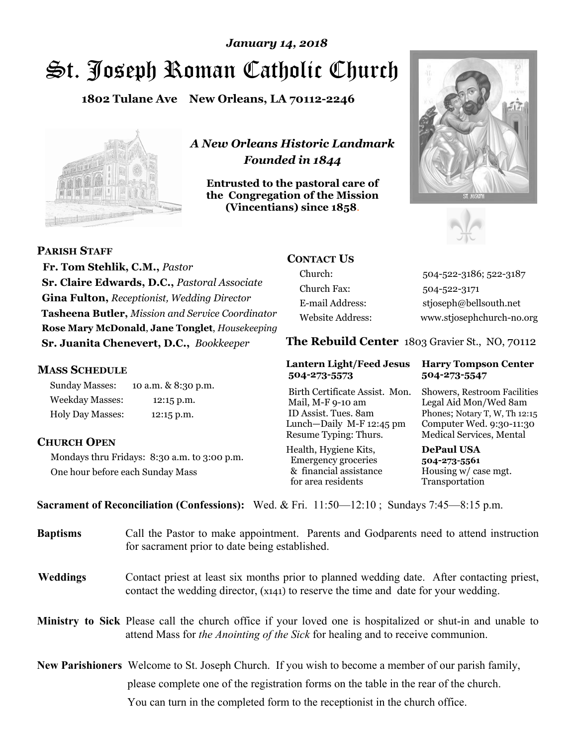# St. Joseph Roman Catholic Church *January 14, 2018*

**1802 Tulane Ave New Orleans, LA 70112-2246**



*A New Orleans Historic Landmark Founded in 1844* 

**Entrusted to the pastoral care of the Congregation of the Mission (Vincentians) since 1858**.





 **Fr. Tom Stehlik, C.M.,** *Pastor* 

**PARISH STAFF**

**Sr. Claire Edwards, D.C.,** *Pastoral Associate* **Gina Fulton,** *Receptionist, Wedding Director* **Tasheena Butler,** *Mission and Service Coordinator* **Rose Mary McDonald**, **Jane Tonglet**, *Housekeeping* **Sr. Juanita Chenevert, D.C.,** *Bookkeeper* 

#### **MASS SCHEDULE**

Sunday Masses: 10 a.m. & 8:30 p.m. Weekday Masses: 12:15 p.m. Holy Day Masses: 12:15 p.m.

#### **CHURCH OPEN**

Mondays thru Fridays: 8:30 a.m. to 3:00 p.m. One hour before each Sunday Mass

# **CONTACT US**

Church: 504-522-3186; 522-3187 Church Fax: 504-522-3171 E-mail Address: stjoseph@bellsouth.net Website Address: www.stjosephchurch-no.org

**The Rebuild Center** 1803 Gravier St., NO, 70112

#### **Lantern Light/Feed Jesus Harry Tompson Center 504-273-5573 504-273-5547**

Birth Certificate Assist. Mon. Showers, Restroom Facilities Mail, M-F 9-10 am Legal Aid Mon/Wed 8am ID Assist. Tues. 8am Phones; Notary T, W, Th 12:15 Lunch—Daily M-F 12:45 pm Computer Wed. 9:30-11:30 Resume Typing: Thurs. Medical Services, Mental

Health, Hygiene Kits, **DePaul USA**  Emergency groceries **504-273-5561** & financial assistance Housing w/ case mgt.<br>for area residents Transportation for area residents

**Sacrament of Reconciliation (Confessions):** Wed. & Fri. 11:50—12:10 ; Sundays 7:45—8:15 p.m.

| <b>Baptisms</b> | Call the Pastor to make appointment. Parents and Godparents need to attend instruction<br>for sacrament prior to date being established.                                                            |
|-----------------|-----------------------------------------------------------------------------------------------------------------------------------------------------------------------------------------------------|
| <b>Weddings</b> | Contact priest at least six months prior to planned wedding date. After contacting priest,<br>contact the wedding director, (x141) to reserve the time and date for your wedding.                   |
|                 | Ministry to Sick Please call the church office if your loved one is hospitalized or shut-in and unable to<br>attend Mass for <i>the Anointing of the Sick</i> for healing and to receive communion. |
|                 | <b>New Parishioners</b> Welcome to St. Joseph Church. If you wish to become a member of our parish family,                                                                                          |
|                 | please complete one of the registration forms on the table in the rear of the church.                                                                                                               |
|                 | You can turn in the completed form to the reception is the church office.                                                                                                                           |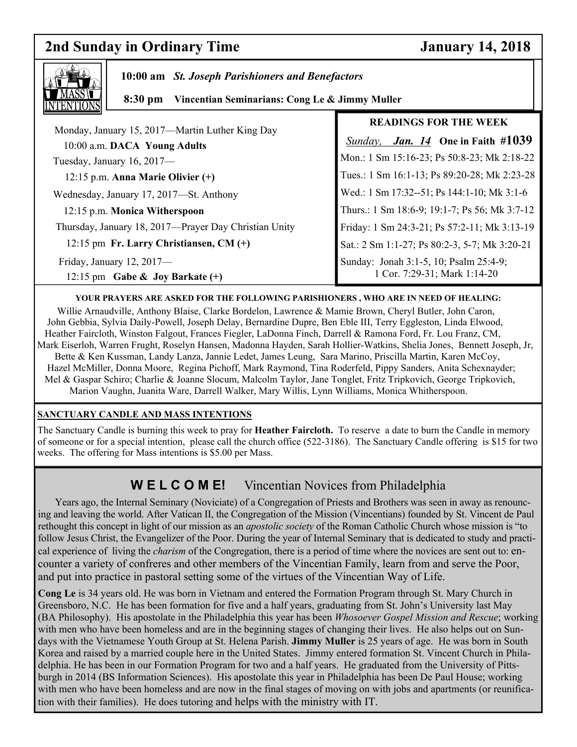# **2nd Sunday in Ordinary Time January 14, 2018**

٦



 **10:00 am** *St. Joseph Parishioners and Benefactors*

 **8:30 pm Vincentian Seminarians: Cong Le & Jimmy Muller** 

|                                                                                 | <b>READINGS FOR THE WEEK</b>                                           |
|---------------------------------------------------------------------------------|------------------------------------------------------------------------|
| Monday, January 15, 2017—Martin Luther King Day<br>10:00 a.m. DACA Young Adults | <i>Jan.</i> 14 One in Faith #1039<br>Sunday,                           |
| Tuesday, January 16, 2017-                                                      | Mon.: 1 Sm 15:16-23; Ps 50:8-23; Mk 2:18-22                            |
| 12:15 p.m. Anna Marie Olivier $(+)$                                             | Tues.: 1 Sm 16:1-13; Ps 89:20-28; Mk 2:23-28                           |
| Wednesday, January 17, 2017-St. Anthony                                         | Wed.: 1 Sm 17:32--51; Ps 144:1-10; Mk 3:1-6                            |
| 12:15 p.m. Monica Witherspoon                                                   | Thurs.: 1 Sm 18:6-9; 19:1-7; Ps 56; Mk 3:7-12                          |
| Thursday, January 18, 2017—Prayer Day Christian Unity                           | Friday: 1 Sm 24:3-21; Ps 57:2-11; Mk 3:13-19                           |
| 12:15 pm Fr. Larry Christiansen, CM (+)                                         | Sat.: 2 Sm 1:1-27; Ps 80:2-3, 5-7; Mk 3:20-21                          |
| Friday, January 12, 2017-<br>12:15 pm Gabe & Joy Barkate $(+)$                  | Sunday: Jonah 3:1-5, 10; Psalm 25:4-9;<br>1 Cor. 7:29-31; Mark 1:14-20 |

#### **YOUR PRAYERS ARE ASKED FOR THE FOLLOWING PARISHIONERS , WHO ARE IN NEED OF HEALING:**

Willie Arnaudville, Anthony Blaise, Clarke Bordelon, Lawrence & Mamie Brown, Cheryl Butler, John Caron, John Gebbia, Sylvia Daily-Powell, Joseph Delay, Bernardine Dupre, Ben Eble III, Terry Eggleston, Linda Elwood, Heather Faircloth, Winston Falgout, Frances Fiegler, LaDonna Finch, Darrell & Ramona Ford, Fr. Lou Franz, CM, Mark Eiserloh, Warren Frught, Roselyn Hansen, Madonna Hayden, Sarah Hollier-Watkins, Shelia Jones, Bennett Joseph, Jr, Bette & Ken Kussman, Landy Lanza, Jannie Ledet, James Leung, Sara Marino, Priscilla Martin, Karen McCoy, Hazel McMiller, Donna Moore, Regina Pichoff, Mark Raymond, Tina Roderfeld, Pippy Sanders, Anita Schexnayder; Mel & Gaspar Schiro; Charlie & Joanne Slocum, Malcolm Taylor, Jane Tonglet, Fritz Tripkovich, George Tripkovich, Marion Vaughn, Juanita Ware, Darrell Walker, Mary Willis, Lynn Williams, Monica Whitherspoon.

#### **SANCTUARY CANDLE AND MASS INTENTIONS**

The Sanctuary Candle is burning this week to pray for **Heather Faircloth.** To reserve a date to burn the Candle in memory of someone or for a special intention, please call the church office (522-3186). The Sanctuary Candle offering is \$15 for two weeks. The offering for Mass intentions is \$5.00 per Mass.

# **W E L C O M E!** Vincentian Novices from Philadelphia

 Years ago, the Internal Seminary (Noviciate) of a Congregation of Priests and Brothers was seen in away as renouncing and leaving the world. After Vatican II, the Congregation of the Mission (Vincentians) founded by St. Vincent de Paul rethought this concept in light of our mission as an *apostolic society* of the Roman Catholic Church whose mission is "to follow Jesus Christ, the Evangelizer of the Poor. During the year of Internal Seminary that is dedicated to study and practical experience of living the *charism* of the Congregation, there is a period of time where the novices are sent out to: encounter a variety of confreres and other members of the Vincentian Family, learn from and serve the Poor, and put into practice in pastoral setting some of the virtues of the Vincentian Way of Life.

**Cong Le** is 34 years old. He was born in Vietnam and entered the Formation Program through St. Mary Church in Greensboro, N.C. He has been formation for five and a half years, graduating from St. John's University last May (BA Philosophy). His apostolate in the Philadelphia this year has been *Whosoever Gospel Mission and Rescue*; working with men who have been homeless and are in the beginning stages of changing their lives. He also helps out on Sundays with the Vietnamese Youth Group at St. Helena Parish. **Jimmy Muller** is 25 years of age. He was born in South Korea and raised by a married couple here in the United States. Jimmy entered formation St. Vincent Church in Philadelphia. He has been in our Formation Program for two and a half years. He graduated from the University of Pittsburgh in 2014 (BS Information Sciences). His apostolate this year in Philadelphia has been De Paul House; working with men who have been homeless and are now in the final stages of moving on with jobs and apartments (or reunification with their families). He does tutoring and helps with the ministry with IT.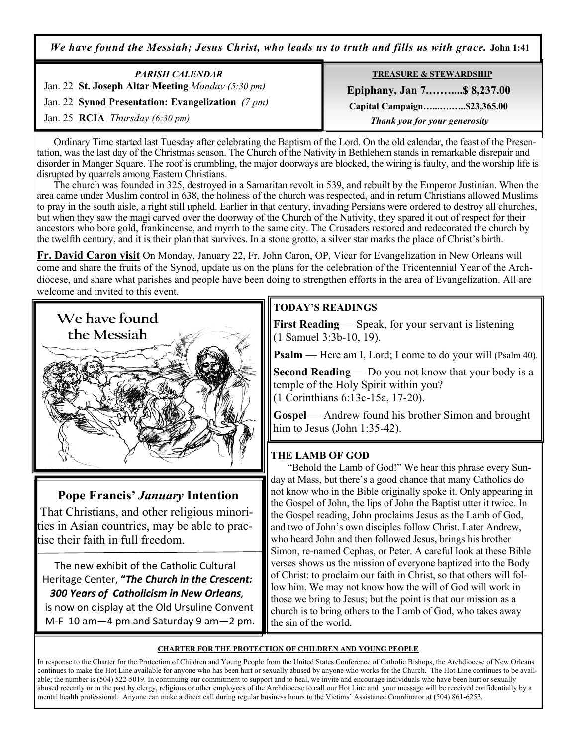*We have found the Messiah; Jesus Christ, who leads us to truth and fills us with grace.* **John 1:41**

| <b>PARISH CALENDAR</b>                            | <b>TREASURE &amp; STEWARDSHIP</b> |
|---------------------------------------------------|-----------------------------------|
| Jan. 22 St. Joseph Altar Meeting Monday (5:30 pm) | <b>Epiphany, Jan 7 \$8,237.00</b> |
| Jan. 22 Synod Presentation: Evangelization (7 pm) | Capital Campaign\$23,365.00       |
| Jan. 25 <b>RCIA</b> <i>Thursday</i> (6:30 pm)     | Thank you for your generosity     |

 Ordinary Time started last Tuesday after celebrating the Baptism of the Lord. On the old calendar, the feast of the Presentation, was the last day of the Christmas season. The Church of the Nativity in Bethlehem stands in remarkable disrepair and disorder in Manger Square. The roof is crumbling, the major doorways are blocked, the wiring is faulty, and the worship life is disrupted by quarrels among Eastern Christians.

 The church was founded in 325, destroyed in a Samaritan revolt in 539, and rebuilt by the Emperor Justinian. When the area came under Muslim control in 638, the holiness of the church was respected, and in return Christians allowed Muslims to pray in the south aisle, a right still upheld. Earlier in that century, invading Persians were ordered to destroy all churches, but when they saw the magi carved over the doorway of the Church of the Nativity, they spared it out of respect for their ancestors who bore gold, frankincense, and myrrh to the same city. The Crusaders restored and redecorated the church by the twelfth century, and it is their plan that survives. In a stone grotto, a silver star marks the place of Christ's birth.

**Fr. David Caron visit** On Monday, January 22, Fr. John Caron, OP, Vicar for Evangelization in New Orleans will come and share the fruits of the Synod, update us on the plans for the celebration of the Tricentennial Year of the Archdiocese, and share what parishes and people have been doing to strengthen efforts in the area of Evangelization. All are welcome and invited to this event.



# **Pope Francis'** *January* **Intention**

That Christians, and other religious minorities in Asian countries, may be able to practise their faith in full freedom.

 The new exhibit of the Catholic Cultural Heritage Center, **"***The Church in the Crescent: 300 Years of Catholicism in New Orleans,*  is now on display at the Old Ursuline Convent

M-F 10 am—4 pm and Saturday 9 am—2 pm.

# **TODAY'S READINGS**

**First Reading** — Speak, for your servant is listening (1 Samuel 3:3b-10, 19).

**Psalm** — Here am I, Lord; I come to do your will (Psalm 40).

**Second Reading** — Do you not know that your body is a temple of the Holy Spirit within you? (1 Corinthians 6:13c-15a, 17-20).

**Gospel** — Andrew found his brother Simon and brought him to Jesus (John 1:35-42).

### **THE LAMB OF GOD**

 "Behold the Lamb of God!" We hear this phrase every Sunday at Mass, but there's a good chance that many Catholics do not know who in the Bible originally spoke it. Only appearing in the Gospel of John, the lips of John the Baptist utter it twice. In the Gospel reading, John proclaims Jesus as the Lamb of God, and two of John's own disciples follow Christ. Later Andrew, who heard John and then followed Jesus, brings his brother Simon, re-named Cephas, or Peter. A careful look at these Bible verses shows us the mission of everyone baptized into the Body of Christ: to proclaim our faith in Christ, so that others will follow him. We may not know how the will of God will work in those we bring to Jesus; but the point is that our mission as a church is to bring others to the Lamb of God, who takes away the sin of the world.

#### **CHARTER FOR THE PROTECTION OF CHILDREN AND YOUNG PEOPLE**

In response to the Charter for the Protection of Children and Young People from the United States Conference of Catholic Bishops, the Archdiocese of New Orleans continues to make the Hot Line available for anyone who has been hurt or sexually abused by anyone who works for the Church. The Hot Line continues to be available; the number is (504) 522-5019. In continuing our commitment to support and to heal, we invite and encourage individuals who have been hurt or sexually abused recently or in the past by clergy, religious or other employees of the Archdiocese to call our Hot Line and your message will be received confidentially by a mental health professional. Anyone can make a direct call during regular business hours to the Victims' Assistance Coordinator at (504) 861-6253.